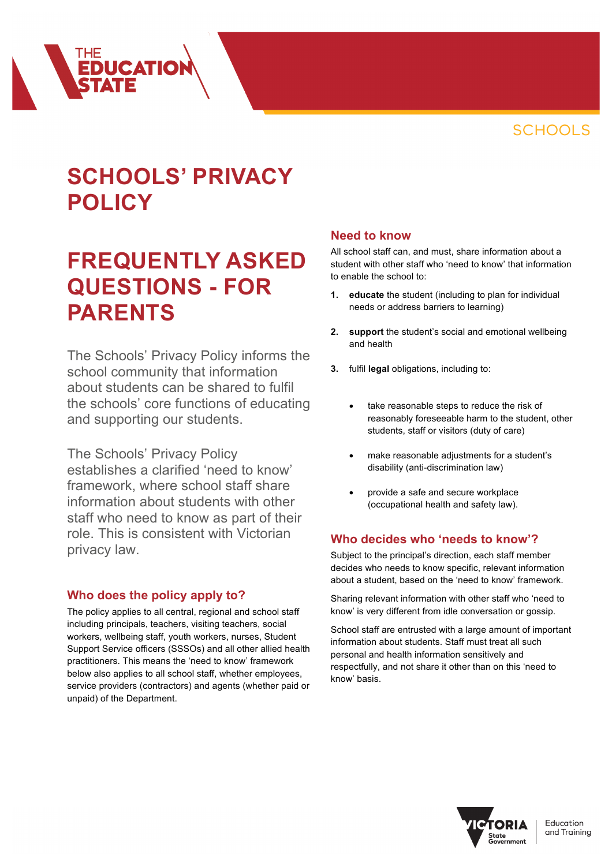

# **SCHOOLS' PRIVACY POLICY**

**EDUCATIOI** 

# **FREQUENTLY ASKED QUESTIONS - FOR PARENTS**

The Schools' Privacy Policy informs the school community that information about students can be shared to fulfil the schools' core functions of educating and supporting our students.

The Schools' Privacy Policy establishes a clarified 'need to know' framework, where school staff share information about students with other staff who need to know as part of their role. This is consistent with Victorian privacy law.

### **Who does the policy apply to?**

The policy applies to all central, regional and school staff including principals, teachers, visiting teachers, social workers, wellbeing staff, youth workers, nurses, Student Support Service officers (SSSOs) and all other allied health practitioners. This means the 'need to know' framework below also applies to all school staff, whether employees, service providers (contractors) and agents (whether paid or unpaid) of the Department.

#### **Need to know**

All school staff can, and must, share information about a student with other staff who 'need to know' that information to enable the school to:

- **1. educate** the student (including to plan for individual needs or address barriers to learning)
- **2. support** the student's social and emotional wellbeing and health
- **3.** fulfil **legal** obligations, including to:
	- take reasonable steps to reduce the risk of reasonably foreseeable harm to the student, other students, staff or visitors (duty of care)
	- make reasonable adjustments for a student's disability (anti-discrimination law)
	- provide a safe and secure workplace (occupational health and safety law).

# **Who decides who 'needs to know'?**

Subject to the principal's direction, each staff member decides who needs to know specific, relevant information about a student, based on the 'need to know' framework.

Sharing relevant information with other staff who 'need to know' is very different from idle conversation or gossip.

School staff are entrusted with a large amount of important information about students. Staff must treat all such personal and health information sensitively and respectfully, and not share it other than on this 'need to know' basis.